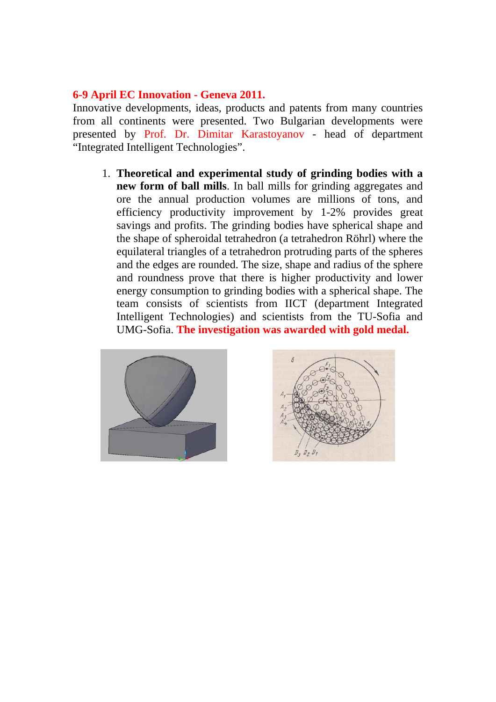## **6-9 April EC Innovation - Geneva 2011.**

Innovative developments, ideas, products and patents from many countries from all continents were presented. Two Bulgarian developments were presented by Prof. Dr. Dimitar Karastoyanov - head of department "Integrated Intelligent Technologies".

1. **Theoretical and experimental study of grinding bodies with a new form of ball mills**. In ball mills for grinding aggregates and ore the annual production volumes are millions of tons, and efficiency productivity improvement by 1-2% provides great savings and profits. The grinding bodies have spherical shape and the shape of spheroidal tetrahedron (a tetrahedron Röhrl) where the equilateral triangles of a tetrahedron protruding parts of the spheres and the edges are rounded. The size, shape and radius of the sphere and roundness prove that there is higher productivity and lower energy consumption to grinding bodies with a spherical shape. The team consists of scientists from IICT (department Integrated Intelligent Technologies) and scientists from the TU-Sofia and UMG-Sofia. **The investigation was awarded with gold medal.**